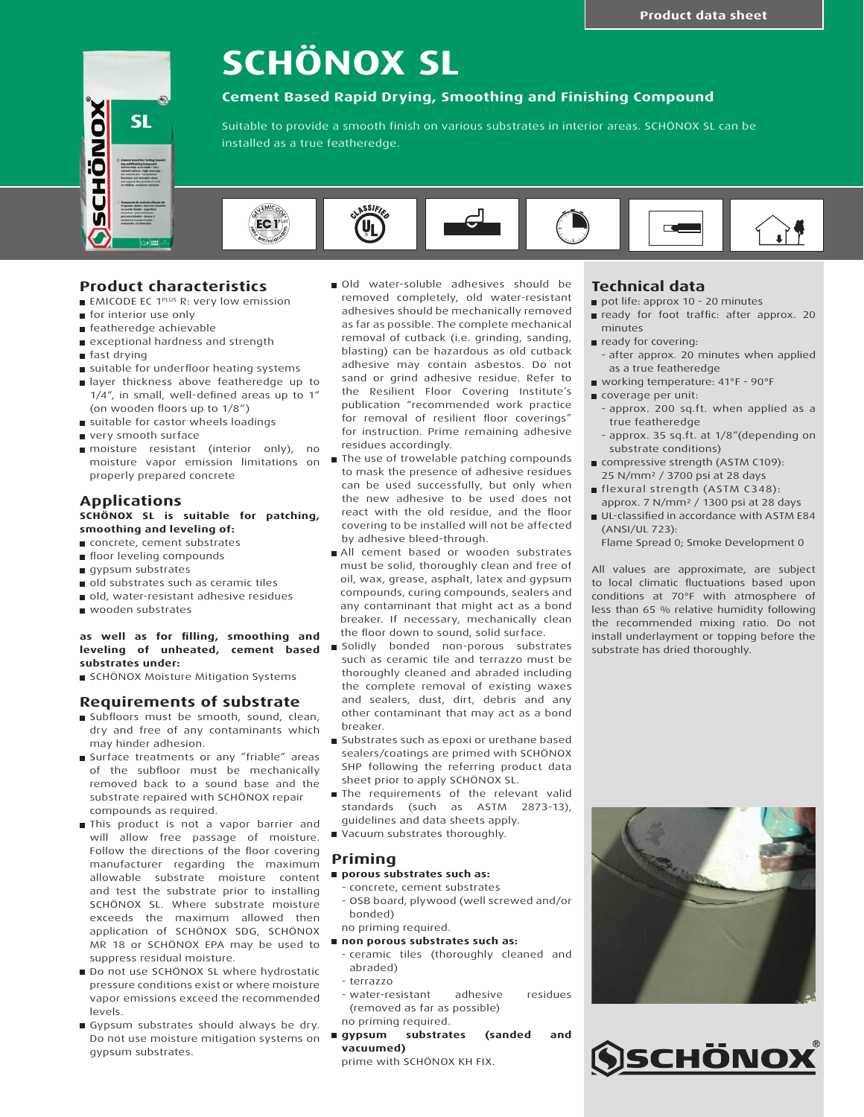# CHÔNOX  $SL$

### **SCHÖNOX SL**

#### **Cement Based Rapid Drying, Smoothing and Finishing Compound**

Suitable to provide a smooth finish on various substrates in interior areas. SCHÖNOX SL can be installed as a true featheredge.



#### **Product characteristics**

- **EMICODE EC 1<sup>PLUS</sup> R: very low emission**
- **for interior use only**
- featheredge achievable
- exceptional hardness and strength
- fast drving
- suitable for underfloor heating systems
- **In** layer thickness above featheredge up to 1/4", in small, well-defined areas up to 1" (on wooden floors up to 1/8")
- suitable for castor wheels loadings
- very smooth surface
- moisture resistant (interior only), no moisture vapor emission limitations on properly prepared concrete

#### **Applications SCHÖNOX SL is suitable for patching, smoothing and leveling of:**

- concrete, cement substrates
- **floor leveling compounds**
- gypsum substrates
- old substrates such as ceramic tiles
- old, water-resistant adhesive residues
- wooden substrates

#### **as well as for filling, smoothing and leveling of unheated, cement based substrates under:**

SCHÖNOX Moisture Mitigation Systems

#### **Requirements of substrate**

- Subfloors must be smooth, sound, clean, dry and free of any contaminants which may hinder adhesion.
- **Surface treatments or any "friable" areas** of the subfloor must be mechanically removed back to a sound base and the substrate repaired with SCHÖNOX repair compounds as required.
- This product is not a vapor barrier and will allow free passage of moisture. Follow the directions of the floor covering manufacturer regarding the maximum allowable substrate moisture content and test the substrate prior to installing SCHÖNOX SL. Where substrate moisture exceeds the maximum allowed then application of SCHÖNOX SDG, SCHÖNOX MR 18 or SCHÖNOX EPA may be used to suppress residual moisture.
- Do not use SCHÖNOX SL where hydrostatic pressure conditions exist or where moisture vapor emissions exceed the recommended levels.
- Gypsum substrates should always be dry. Do not use moisture mitigation systems on gypsum substrates.
- Old water-soluble adhesives should be removed completely, old water-resistant adhesives should be mechanically removed as far as possible. The complete mechanical removal of cutback (i.e. grinding, sanding, blasting) can be hazardous as old cutback adhesive may contain asbestos. Do not sand or grind adhesive residue. Refer to the Resilient Floor Covering Institute's publication "recommended work practice for removal of resilient floor coverings" for instruction. Prime remaining adhesive residues accordingly.
- The use of trowelable patching compounds to mask the presence of adhesive residues can be used successfully, but only when the new adhesive to be used does not react with the old residue, and the floor covering to be installed will not be affected by adhesive bleed-through.
- All cement based or wooden substrates must be solid, thoroughly clean and free of oil, wax, grease, asphalt, latex and gypsum compounds, curing compounds, sealers and any contaminant that might act as a bond breaker. If necessary, mechanically clean the floor down to sound, solid surface.
- Solidly bonded non-porous substrates such as ceramic tile and terrazzo must be thoroughly cleaned and abraded including the complete removal of existing waxes and sealers, dust, dirt, debris and any other contaminant that may act as a bond breaker.
- **Substrates such as epoxi or urethane based** sealers/coatings are primed with SCHÖNOX SHP following the referring product data sheet prior to apply SCHÖNOX SL.
- The requirements of the relevant valid standards (such as ASTM 2873-13), guidelines and data sheets apply.
- Vacuum substrates thoroughly.

#### **Priming**

- **porous substrates such as:**
	- concrete, cement substrates
- OSB board, plywood (well screwed and/or bonded)
- no priming required.
- **non porous substrates such as:**
	- ceramic tiles (thoroughly cleaned and abraded)
	- terrazzo
- water-resistant adhesive residues (removed as far as possible) no priming required.
- **gypsum substrates (sanded and vacuumed)**

prime with SCHÖNOX KH FIX.

#### **Technical data**

- pot life: approx 10 20 minutes
- ready for foot traffic: after approx. 20 minutes
- ready for covering:
- after approx. 20 minutes when applied as a true featheredge
- working temperature: 41°F 90°F
- coverage per unit:
	- approx. 200 sq.ft. when applied as a true featheredge
	- approx. 35 sq.ft. at 1/8"(depending on substrate conditions)
- compressive strength (ASTM C109): 25 N/mm² / 3700 psi at 28 days
- flexural strength (ASTM C348): approx. 7 N/mm² / 1300 psi at 28 days
- UL-classified in accordance with ASTM E84 (ANSI/UL 723):

Flame Spread 0; Smoke Development 0

All values are approximate, are subject to local climatic fluctuations based upon conditions at 70°F with atmosphere of less than 65 % relative humidity following the recommended mixing ratio. Do not install underlayment or topping before the substrate has dried thoroughly.